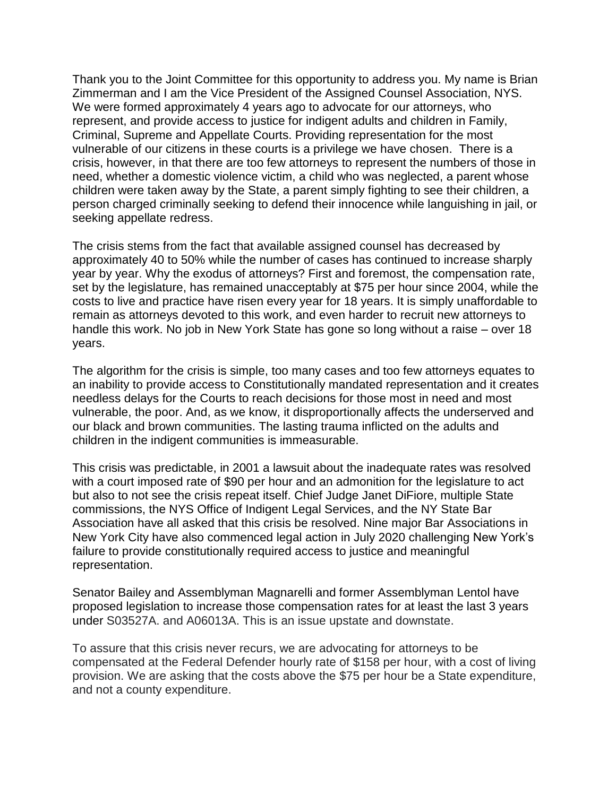Thank you to the Joint Committee for this opportunity to address you. My name is Brian Zimmerman and I am the Vice President of the Assigned Counsel Association, NYS. We were formed approximately 4 years ago to advocate for our attorneys, who represent, and provide access to justice for indigent adults and children in Family, Criminal, Supreme and Appellate Courts. Providing representation for the most vulnerable of our citizens in these courts is a privilege we have chosen. There is a crisis, however, in that there are too few attorneys to represent the numbers of those in need, whether a domestic violence victim, a child who was neglected, a parent whose children were taken away by the State, a parent simply fighting to see their children, a person charged criminally seeking to defend their innocence while languishing in jail, or seeking appellate redress.

The crisis stems from the fact that available assigned counsel has decreased by approximately 40 to 50% while the number of cases has continued to increase sharply year by year. Why the exodus of attorneys? First and foremost, the compensation rate, set by the legislature, has remained unacceptably at \$75 per hour since 2004, while the costs to live and practice have risen every year for 18 years. It is simply unaffordable to remain as attorneys devoted to this work, and even harder to recruit new attorneys to handle this work. No job in New York State has gone so long without a raise – over 18 years.

The algorithm for the crisis is simple, too many cases and too few attorneys equates to an inability to provide access to Constitutionally mandated representation and it creates needless delays for the Courts to reach decisions for those most in need and most vulnerable, the poor. And, as we know, it disproportionally affects the underserved and our black and brown communities. The lasting trauma inflicted on the adults and children in the indigent communities is immeasurable.

This crisis was predictable, in 2001 a lawsuit about the inadequate rates was resolved with a court imposed rate of \$90 per hour and an admonition for the legislature to act but also to not see the crisis repeat itself. Chief Judge Janet DiFiore, multiple State commissions, the NYS Office of Indigent Legal Services, and the NY State Bar Association have all asked that this crisis be resolved. Nine major Bar Associations in New York City have also commenced legal action in July 2020 challenging New York's failure to provide constitutionally required access to justice and meaningful representation.

Senator Bailey and Assemblyman Magnarelli and former Assemblyman Lentol have proposed legislation to increase those compensation rates for at least the last 3 years under S03527A. and A06013A. This is an issue upstate and downstate.

To assure that this crisis never recurs, we are advocating for attorneys to be compensated at the Federal Defender hourly rate of \$158 per hour, with a cost of living provision. We are asking that the costs above the \$75 per hour be a State expenditure, and not a county expenditure.